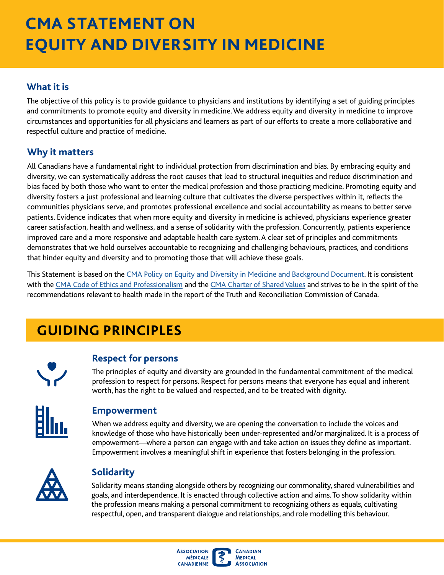# **CMA STATEMENT ON EQUITY AND DIVERSITY IN MEDICINE**

# **What it is**

 and commitments to promote equity and diversity in medicine. We address equity and diversity in medicine to improve The objective of this policy is to provide guidance to physicians and institutions by identifying a set of guiding principles circumstances and opportunities for all physicians and learners as part of our efforts to create a more collaborative and respectful culture and practice of medicine.

## **Why it matters**

All Canadians have a fundamental right to individual protection from discrimination and bias. By embracing equity and diversity, we can systematically address the root causes that lead to structural inequities and reduce discrimination and bias faced by both those who want to enter the medical profession and those practicing medicine. Promoting equity and diversity fosters a just professional and learning culture that cultivates the diverse perspectives within it, refects the communities physicians serve, and promotes professional excellence and social accountability as means to better serve patients. Evidence indicates that when more equity and diversity in medicine is achieved, physicians experience greater career satisfaction, health and wellness, and a sense of solidarity with the profession. Concurrently, patients experience improved care and a more responsive and adaptable health care system. A clear set of principles and commitments demonstrates that we hold ourselves accountable to recognizing and challenging behaviours, practices, and conditions that hinder equity and diversity and to promoting those that will achieve these goals.

This Statement is based on the [CMA Policy on Equity and Diversity in Medicine and Background Document](https://policybase.cma.ca/en/permalink/policy14127). It is consistent with the [CMA Code of Ethics and Professionalism](https://policybase.cma.ca/en/permalink/policy13937) and the [CMA Charter of Shared Values](https://policybase.cma.ca/en/permalink/policy13858) and strives to be in the spirit of the recommendations relevant to health made in the report of the Truth and Reconciliation Commission of Canada.

# **GUIDING PRINCIPLES**



## **Respect for persons**

The principles of equity and diversity are grounded in the fundamental commitment of the medical profession to respect for persons. Respect for persons means that everyone has equal and inherent worth, has the right to be valued and respected, and to be treated with dignity.



#### **Empowerment**

When we address equity and diversity, we are opening the conversation to include the voices and knowledge of those who have historically been under-represented and/or marginalized. It is a process of empowerment—where a person can engage with and take action on issues they defne as important. Empowerment involves a meaningful shift in experience that fosters belonging in the profession.



# **Solidarity**

Solidarity means standing alongside others by recognizing our commonality, shared vulnerabilities and goals, and interdependence. It is enacted through collective action and aims. To show solidarity within the profession means making a personal commitment to recognizing others as equals, cultivating respectful, open, and transparent dialogue and relationships, and role modelling this behaviour.